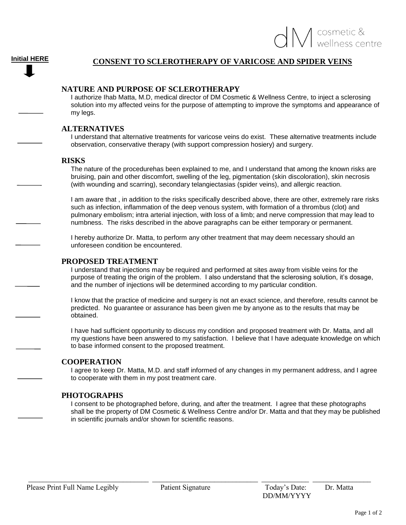# **CONSENT TO SCLEROTHERAPY OF VARICOSE AND SPIDER VEINS**

### **NATURE AND PURPOSE OF SCLEROTHERAPY**

I authorize Ihab Matta, M.D, medical director of DM Cosmetic & Wellness Centre, to inject a sclerosing solution into my affected veins for the purpose of attempting to improve the symptoms and appearance of my legs.

#### **ALTERNATIVES**

I understand that alternative treatments for varicose veins do exist. These alternative treatments include observation, conservative therapy (with support compression hosiery) and surgery.

#### **RISKS**

The nature of the procedurehas been explained to me, and I understand that among the known risks are bruising, pain and other discomfort, swelling of the leg, pigmentation (skin discoloration), skin necrosis (with wounding and scarring), secondary telangiectasias (spider veins), and allergic reaction.

I am aware that , in addition to the risks specifically described above, there are other, extremely rare risks such as infection, inflammation of the deep venous system, with formation of a thrombus (clot) and pulmonary embolism; intra arterial injection, with loss of a limb; and nerve compression that may lead to numbness. The risks described in the above paragraphs can be either temporary or permanent.

I hereby authorize Dr. Matta, to perform any other treatment that may deem necessary should an unforeseen condition be encountered.

#### **PROPOSED TREATMENT**

I understand that injections may be required and performed at sites away from visible veins for the purpose of treating the origin of the problem. I also understand that the sclerosing solution, it's dosage, and the number of injections will be determined according to my particular condition.

I know that the practice of medicine and surgery is not an exact science, and therefore, results cannot be predicted. No guarantee or assurance has been given me by anyone as to the results that may be obtained.

I have had sufficient opportunity to discuss my condition and proposed treatment with Dr. Matta, and all my questions have been answered to my satisfaction. I believe that I have adequate knowledge on which to base informed consent to the proposed treatment.

#### **COOPERATION**

I agree to keep Dr. Matta, M.D. and staff informed of any changes in my permanent address, and I agree to cooperate with them in my post treatment care.

#### **PHOTOGRAPHS**

I consent to be photographed before, during, and after the treatment. I agree that these photographs shall be the property of DM Cosmetic & Wellness Centre and/or Dr. Matta and that they may be published in scientific journals and/or shown for scientific reasons.

 $\frac{1}{2}$  ,  $\frac{1}{2}$  ,  $\frac{1}{2}$  ,  $\frac{1}{2}$  ,  $\frac{1}{2}$  ,  $\frac{1}{2}$  ,  $\frac{1}{2}$  ,  $\frac{1}{2}$  ,  $\frac{1}{2}$  ,  $\frac{1}{2}$  ,  $\frac{1}{2}$  ,  $\frac{1}{2}$  ,  $\frac{1}{2}$  ,  $\frac{1}{2}$  ,  $\frac{1}{2}$  ,  $\frac{1}{2}$  ,  $\frac{1}{2}$  ,  $\frac{1}{2}$  ,  $\frac{1$